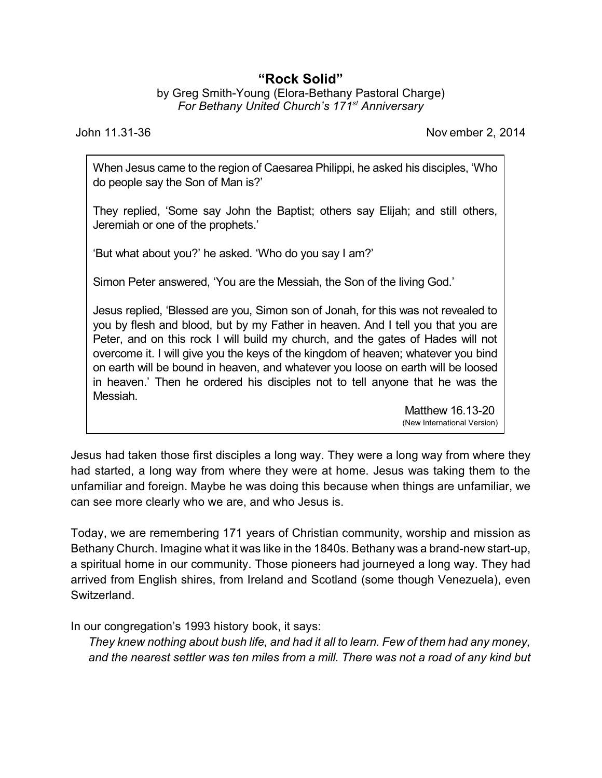## **"Rock Solid"**

by Greg Smith-Young (Elora-Bethany Pastoral Charge) *For Bethany United Church's 171st Anniversary*

John 11.31-36 Nov ember 2, 2014

When Jesus came to the region of Caesarea Philippi, he asked his disciples, 'Who do people say the Son of Man is?'

They replied, 'Some say John the Baptist; others say Elijah; and still others, Jeremiah or one of the prophets.'

'But what about you?' he asked. 'Who do you say I am?'

Simon Peter answered, 'You are the Messiah, the Son of the living God.'

Jesus replied, 'Blessed are you, Simon son of Jonah, for this was not revealed to you by flesh and blood, but by my Father in heaven. And I tell you that you are Peter, and on this rock I will build my church, and the gates of Hades will not overcome it. I will give you the keys of the kingdom of heaven; whatever you bind on earth will be bound in heaven, and whatever you loose on earth will be loosed in heaven.' Then he ordered his disciples not to tell anyone that he was the Messiah.

Matthew 16.13-20 (New International Version)

Jesus had taken those first disciples a long way. They were a long way from where they had started, a long way from where they were at home. Jesus was taking them to the unfamiliar and foreign. Maybe he was doing this because when things are unfamiliar, we can see more clearly who we are, and who Jesus is.

Today, we are remembering 171 years of Christian community, worship and mission as Bethany Church. Imagine what it was like in the 1840s. Bethany was a brand-new start-up, a spiritual home in our community. Those pioneers had journeyed a long way. They had arrived from English shires, from Ireland and Scotland (some though Venezuela), even Switzerland.

In our congregation's 1993 history book, it says:

*They knew nothing about bush life, and had it all to learn. Few of them had any money, and the nearest settler was ten miles from a mill. There was not a road of any kind but*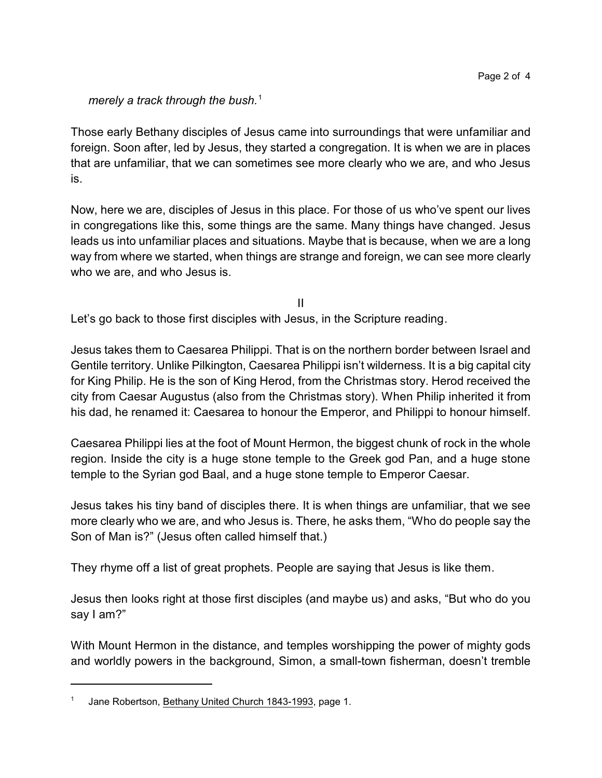*merely a track through the bush.*<sup>1</sup>

Those early Bethany disciples of Jesus came into surroundings that were unfamiliar and foreign. Soon after, led by Jesus, they started a congregation. It is when we are in places that are unfamiliar, that we can sometimes see more clearly who we are, and who Jesus is.

Now, here we are, disciples of Jesus in this place. For those of us who've spent our lives in congregations like this, some things are the same. Many things have changed. Jesus leads us into unfamiliar places and situations. Maybe that is because, when we are a long way from where we started, when things are strange and foreign, we can see more clearly who we are, and who Jesus is.

II

Let's go back to those first disciples with Jesus, in the Scripture reading.

Jesus takes them to Caesarea Philippi. That is on the northern border between Israel and Gentile territory. Unlike Pilkington, Caesarea Philippi isn't wilderness. It is a big capital city for King Philip. He is the son of King Herod, from the Christmas story. Herod received the city from Caesar Augustus (also from the Christmas story). When Philip inherited it from his dad, he renamed it: Caesarea to honour the Emperor, and Philippi to honour himself.

Caesarea Philippi lies at the foot of Mount Hermon, the biggest chunk of rock in the whole region. Inside the city is a huge stone temple to the Greek god Pan, and a huge stone temple to the Syrian god Baal, and a huge stone temple to Emperor Caesar.

Jesus takes his tiny band of disciples there. It is when things are unfamiliar, that we see more clearly who we are, and who Jesus is. There, he asks them, "Who do people say the Son of Man is?" (Jesus often called himself that.)

They rhyme off a list of great prophets. People are saying that Jesus is like them.

Jesus then looks right at those first disciples (and maybe us) and asks, "But who do you say I am?"

With Mount Hermon in the distance, and temples worshipping the power of mighty gods and worldly powers in the background, Simon, a small-town fisherman, doesn't tremble

<sup>1</sup> Jane Robertson, Bethany United Church 1843-1993, page 1.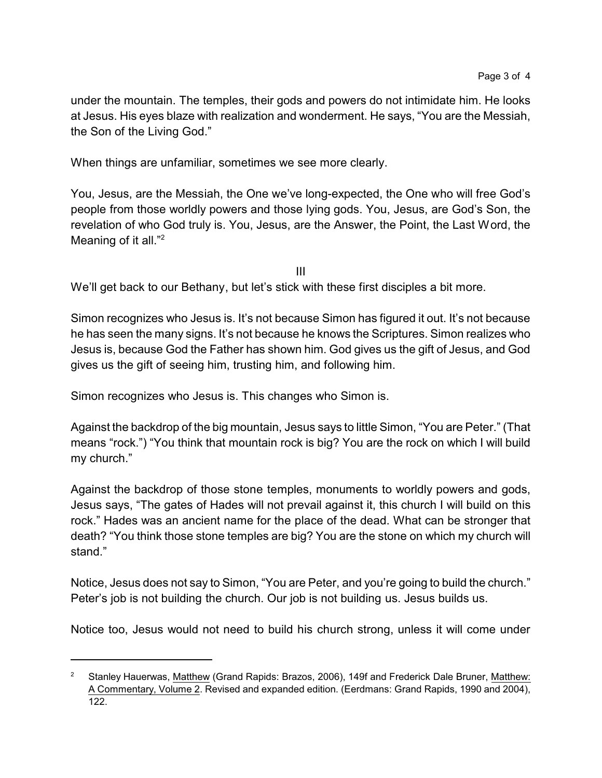under the mountain. The temples, their gods and powers do not intimidate him. He looks at Jesus. His eyes blaze with realization and wonderment. He says, "You are the Messiah, the Son of the Living God."

When things are unfamiliar, sometimes we see more clearly.

You, Jesus, are the Messiah, the One we've long-expected, the One who will free God's people from those worldly powers and those lying gods. You, Jesus, are God's Son, the revelation of who God truly is. You, Jesus, are the Answer, the Point, the Last Word, the Meaning of it all."<sup>2</sup>

III

We'll get back to our Bethany, but let's stick with these first disciples a bit more.

Simon recognizes who Jesus is. It's not because Simon has figured it out. It's not because he has seen the many signs. It's not because he knows the Scriptures. Simon realizes who Jesus is, because God the Father has shown him. God gives us the gift of Jesus, and God gives us the gift of seeing him, trusting him, and following him.

Simon recognizes who Jesus is. This changes who Simon is.

Against the backdrop of the big mountain, Jesus says to little Simon, "You are Peter." (That means "rock.") "You think that mountain rock is big? You are the rock on which I will build my church."

Against the backdrop of those stone temples, monuments to worldly powers and gods, Jesus says, "The gates of Hades will not prevail against it, this church I will build on this rock." Hades was an ancient name for the place of the dead. What can be stronger that death? "You think those stone temples are big? You are the stone on which my church will stand."

Notice, Jesus does not say to Simon, "You are Peter, and you're going to build the church." Peter's job is not building the church. Our job is not building us. Jesus builds us.

Notice too, Jesus would not need to build his church strong, unless it will come under

<sup>2</sup> Stanley Hauerwas, Matthew (Grand Rapids: Brazos, 2006), 149f and Frederick Dale Bruner, Matthew: A Commentary, Volume 2. Revised and expanded edition. (Eerdmans: Grand Rapids, 1990 and 2004), 122.